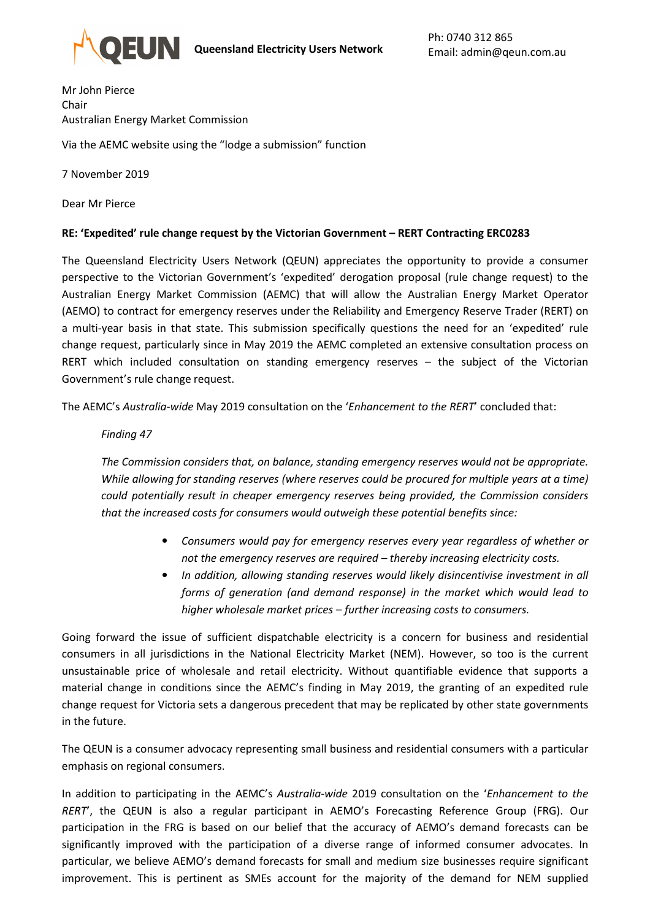

Mr John Pierce Chair Australian Energy Market Commission Via the AEMC website using the "lodge a submission" function

7 November 2019

Dear Mr Pierce

## **RE: 'Expedited' rule change request by the Victorian Government – RERT Contracting ERC0283**

The Queensland Electricity Users Network (QEUN) appreciates the opportunity to provide a consumer perspective to the Victorian Government's 'expedited' derogation proposal (rule change request) to the Australian Energy Market Commission (AEMC) that will allow the Australian Energy Market Operator (AEMO) to contract for emergency reserves under the Reliability and Emergency Reserve Trader (RERT) on a multi-year basis in that state. This submission specifically questions the need for an 'expedited' rule change request, particularly since in May 2019 the AEMC completed an extensive consultation process on RERT which included consultation on standing emergency reserves – the subject of the Victorian Government's rule change request.

The AEMC's *Australia-wide* May 2019 consultation on the '*Enhancement to the RERT*' concluded that:

## *Finding 47*

*The Commission considers that, on balance, standing emergency reserves would not be appropriate. While allowing for standing reserves (where reserves could be procured for multiple years at a time) could potentially result in cheaper emergency reserves being provided, the Commission considers that the increased costs for consumers would outweigh these potential benefits since:* 

- *Consumers would pay for emergency reserves every year regardless of whether or not the emergency reserves are required – thereby increasing electricity costs.*
- *In addition, allowing standing reserves would likely disincentivise investment in all forms of generation (and demand response) in the market which would lead to higher wholesale market prices – further increasing costs to consumers.*

Going forward the issue of sufficient dispatchable electricity is a concern for business and residential consumers in all jurisdictions in the National Electricity Market (NEM). However, so too is the current unsustainable price of wholesale and retail electricity. Without quantifiable evidence that supports a material change in conditions since the AEMC's finding in May 2019, the granting of an expedited rule change request for Victoria sets a dangerous precedent that may be replicated by other state governments in the future.

The QEUN is a consumer advocacy representing small business and residential consumers with a particular emphasis on regional consumers.

In addition to participating in the AEMC's *Australia-wide* 2019 consultation on the '*Enhancement to the RERT*', the QEUN is also a regular participant in AEMO's Forecasting Reference Group (FRG). Our participation in the FRG is based on our belief that the accuracy of AEMO's demand forecasts can be significantly improved with the participation of a diverse range of informed consumer advocates. In particular, we believe AEMO's demand forecasts for small and medium size businesses require significant improvement. This is pertinent as SMEs account for the majority of the demand for NEM supplied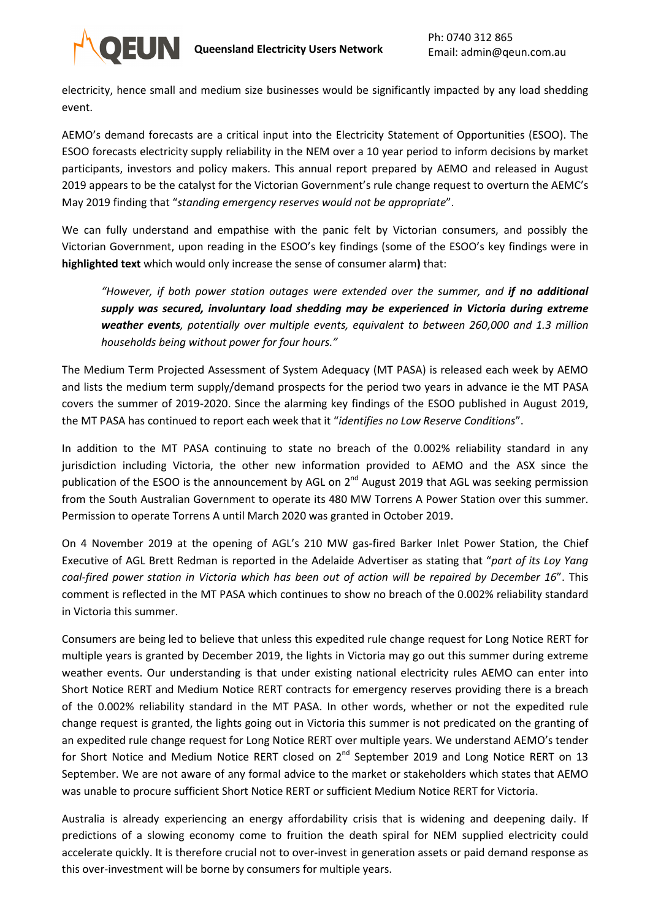

electricity, hence small and medium size businesses would be significantly impacted by any load shedding event.

AEMO's demand forecasts are a critical input into the Electricity Statement of Opportunities (ESOO). The ESOO forecasts electricity supply reliability in the NEM over a 10 year period to inform decisions by market participants, investors and policy makers. This annual report prepared by AEMO and released in August 2019 appears to be the catalyst for the Victorian Government's rule change request to overturn the AEMC's May 2019 finding that "*standing emergency reserves would not be appropriate*".

We can fully understand and empathise with the panic felt by Victorian consumers, and possibly the Victorian Government, upon reading in the ESOO's key findings (some of the ESOO's key findings were in **highlighted text** which would only increase the sense of consumer alarm**)** that:

*"However, if both power station outages were extended over the summer, and if no additional supply was secured, involuntary load shedding may be experienced in Victoria during extreme weather events, potentially over multiple events, equivalent to between 260,000 and 1.3 million households being without power for four hours."* 

The Medium Term Projected Assessment of System Adequacy (MT PASA) is released each week by AEMO and lists the medium term supply/demand prospects for the period two years in advance ie the MT PASA covers the summer of 2019-2020. Since the alarming key findings of the ESOO published in August 2019, the MT PASA has continued to report each week that it "*identifies no Low Reserve Conditions*".

In addition to the MT PASA continuing to state no breach of the 0.002% reliability standard in any jurisdiction including Victoria, the other new information provided to AEMO and the ASX since the publication of the ESOO is the announcement by AGL on  $2^{nd}$  August 2019 that AGL was seeking permission from the South Australian Government to operate its 480 MW Torrens A Power Station over this summer. Permission to operate Torrens A until March 2020 was granted in October 2019.

On 4 November 2019 at the opening of AGL's 210 MW gas-fired Barker Inlet Power Station, the Chief Executive of AGL Brett Redman is reported in the Adelaide Advertiser as stating that "*part of its Loy Yang coal-fired power station in Victoria which has been out of action will be repaired by December 16*". This comment is reflected in the MT PASA which continues to show no breach of the 0.002% reliability standard in Victoria this summer.

Consumers are being led to believe that unless this expedited rule change request for Long Notice RERT for multiple years is granted by December 2019, the lights in Victoria may go out this summer during extreme weather events. Our understanding is that under existing national electricity rules AEMO can enter into Short Notice RERT and Medium Notice RERT contracts for emergency reserves providing there is a breach of the 0.002% reliability standard in the MT PASA. In other words, whether or not the expedited rule change request is granted, the lights going out in Victoria this summer is not predicated on the granting of an expedited rule change request for Long Notice RERT over multiple years. We understand AEMO's tender for Short Notice and Medium Notice RERT closed on 2<sup>nd</sup> September 2019 and Long Notice RERT on 13 September. We are not aware of any formal advice to the market or stakeholders which states that AEMO was unable to procure sufficient Short Notice RERT or sufficient Medium Notice RERT for Victoria.

Australia is already experiencing an energy affordability crisis that is widening and deepening daily. If predictions of a slowing economy come to fruition the death spiral for NEM supplied electricity could accelerate quickly. It is therefore crucial not to over-invest in generation assets or paid demand response as this over-investment will be borne by consumers for multiple years.